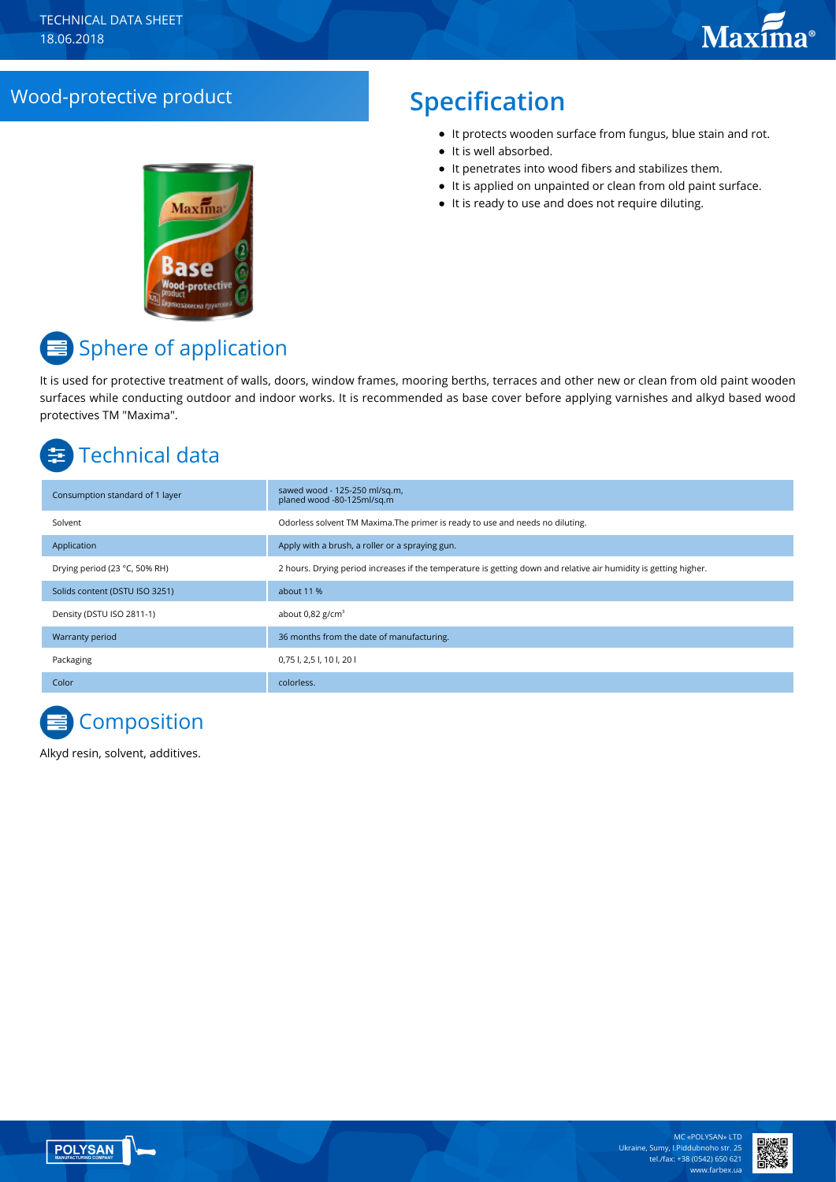## Wood-protective product **Specification**

- It protects wooden surface from fungus, blue stain and rot.
- It is well absorbed.
- It penetrates into wood fibers and stabilizes them.
- It is applied on unpainted or clean from old paint surface.
- It is ready to use and does not require diluting.



# **■** Sphere of application

It is used for protective treatment of walls, doors, window frames, mooring berths, terraces and other new or clean from old paint wooden surfaces while conducting outdoor and indoor works. It is recommended as base cover before applying varnishes and alkyd based wood protectives TM "Maxima".

# Technical data

| Consumption standard of 1 layer | sawed wood - 125-250 ml/sq.m,<br>planed wood -80-125ml/sq.m                                                      |
|---------------------------------|------------------------------------------------------------------------------------------------------------------|
| Solvent                         | Odorless solvent TM Maxima. The primer is ready to use and needs no diluting.                                    |
| Application                     | Apply with a brush, a roller or a spraying gun.                                                                  |
| Drying period (23 °C, 50% RH)   | 2 hours. Drying period increases if the temperature is getting down and relative air humidity is getting higher. |
| Solids content (DSTU ISO 3251)  | about 11 %                                                                                                       |
| Density (DSTU ISO 2811-1)       | about $0.82$ g/cm <sup>3</sup>                                                                                   |
| Warranty period                 | 36 months from the date of manufacturing.                                                                        |
| Packaging                       | 0,75 l, 2,5 l, 10 l, 20 l                                                                                        |
| Color                           | colorless.                                                                                                       |



Alkyd resin, solvent, additives.